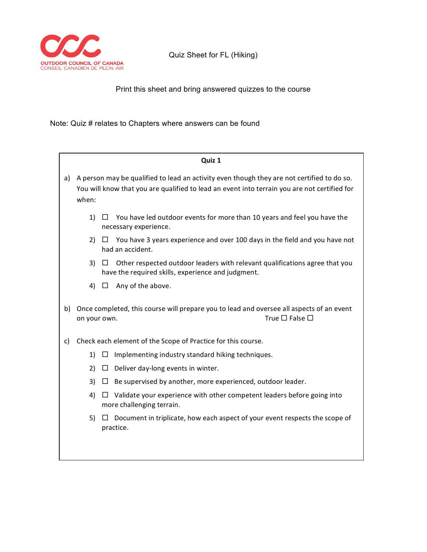

Quiz Sheet for FL (Hiking)

Print this sheet and bring answered quizzes to the course

Note: Quiz # relates to Chapters where answers can be found

|    | Quiz 1                                                                                                                                                                                              |         |                                                                                                                                   |  |  |  |
|----|-----------------------------------------------------------------------------------------------------------------------------------------------------------------------------------------------------|---------|-----------------------------------------------------------------------------------------------------------------------------------|--|--|--|
| a) | A person may be qualified to lead an activity even though they are not certified to do so.<br>You will know that you are qualified to lead an event into terrain you are not certified for<br>when: |         |                                                                                                                                   |  |  |  |
|    | 1)                                                                                                                                                                                                  | $\Box$  | You have led outdoor events for more than 10 years and feel you have the<br>necessary experience.                                 |  |  |  |
|    | 2)                                                                                                                                                                                                  | $\perp$ | You have 3 years experience and over 100 days in the field and you have not<br>had an accident.                                   |  |  |  |
|    | 3)                                                                                                                                                                                                  |         | Other respected outdoor leaders with relevant qualifications agree that you<br>have the required skills, experience and judgment. |  |  |  |
|    | 4)                                                                                                                                                                                                  | $\Box$  | Any of the above.                                                                                                                 |  |  |  |
| b) | Once completed, this course will prepare you to lead and oversee all aspects of an event<br>True $\square$ False $\square$<br>on your own.                                                          |         |                                                                                                                                   |  |  |  |
| c) |                                                                                                                                                                                                     |         | Check each element of the Scope of Practice for this course.                                                                      |  |  |  |
|    | 1)                                                                                                                                                                                                  |         | Implementing industry standard hiking techniques.                                                                                 |  |  |  |
|    | 2)                                                                                                                                                                                                  | ⊔       | Deliver day-long events in winter.                                                                                                |  |  |  |
|    | 3)                                                                                                                                                                                                  | ⊔       | Be supervised by another, more experienced, outdoor leader.                                                                       |  |  |  |
|    | 4)                                                                                                                                                                                                  | $\Box$  | Validate your experience with other competent leaders before going into<br>more challenging terrain.                              |  |  |  |
|    | 5)                                                                                                                                                                                                  |         | Document in triplicate, how each aspect of your event respects the scope of<br>practice.                                          |  |  |  |
|    |                                                                                                                                                                                                     |         |                                                                                                                                   |  |  |  |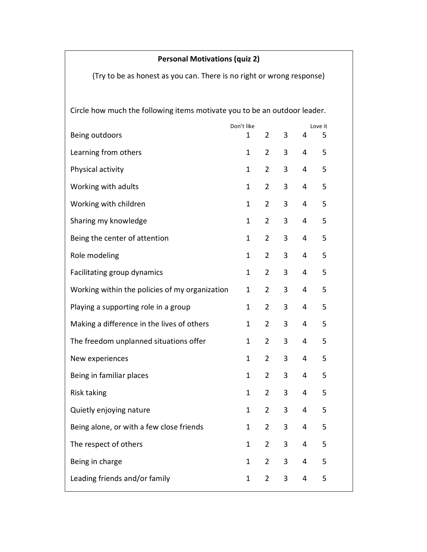## **Personal Motivations (quiz 2)**

(Try to be as honest as you can. There is no right or wrong response)

Circle how much the following items motivate you to be an outdoor leader.

|                                                | Don't like |              |                |   |   | Love it |
|------------------------------------------------|------------|--------------|----------------|---|---|---------|
| Being outdoors                                 |            | $\mathbf 1$  | $\overline{2}$ | 3 | 4 | 5       |
| Learning from others                           |            | $\mathbf{1}$ | $\overline{2}$ | 3 | 4 | 5       |
| Physical activity                              |            | $\mathbf{1}$ | $\overline{2}$ | 3 | 4 | 5       |
| Working with adults                            |            | $\mathbf{1}$ | $\overline{2}$ | 3 | 4 | 5       |
| Working with children                          |            | $\mathbf{1}$ | $\overline{2}$ | 3 | 4 | 5       |
| Sharing my knowledge                           |            | $\mathbf{1}$ | $\overline{2}$ | 3 | 4 | 5       |
| Being the center of attention                  |            | $\mathbf{1}$ | $\overline{2}$ | 3 | 4 | 5       |
| Role modeling                                  |            | $\mathbf{1}$ | $\overline{2}$ | 3 | 4 | 5       |
| Facilitating group dynamics                    |            | $\mathbf{1}$ | $\overline{2}$ | 3 | 4 | 5       |
| Working within the policies of my organization |            | $\mathbf{1}$ | $\overline{2}$ | 3 | 4 | 5       |
| Playing a supporting role in a group           |            | $\mathbf{1}$ | $\overline{2}$ | 3 | 4 | 5       |
| Making a difference in the lives of others     |            | $\mathbf{1}$ | $\overline{2}$ | 3 | 4 | 5       |
| The freedom unplanned situations offer         |            | $\mathbf{1}$ | $\overline{2}$ | 3 | 4 | 5       |
| New experiences                                |            | $\mathbf{1}$ | $\overline{2}$ | 3 | 4 | 5       |
| Being in familiar places                       |            | $\mathbf{1}$ | $\overline{2}$ | 3 | 4 | 5       |
| <b>Risk taking</b>                             |            | $\mathbf{1}$ | $\overline{2}$ | 3 | 4 | 5       |
| Quietly enjoying nature                        |            | $\mathbf{1}$ | $\overline{2}$ | 3 | 4 | 5       |
| Being alone, or with a few close friends       |            | 1            | $\overline{2}$ | 3 | 4 | 5       |
| The respect of others                          |            | 1            | $\overline{2}$ | 3 | 4 | 5       |
| Being in charge                                |            | 1            | 2 <sup>1</sup> | 3 | 4 | 5       |
| Leading friends and/or family                  |            | $\mathbf{1}$ | $\overline{2}$ | 3 | 4 | 5       |
|                                                |            |              |                |   |   |         |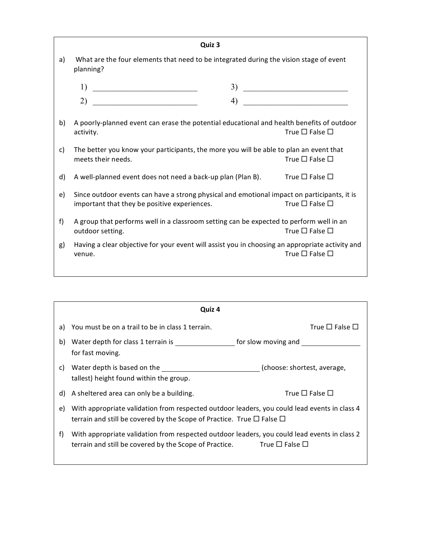|    | Quiz 3                                                                                                                                      |                                               |
|----|---------------------------------------------------------------------------------------------------------------------------------------------|-----------------------------------------------|
| a) | What are the four elements that need to be integrated during the vision stage of event<br>planning?                                         |                                               |
|    | 1)<br>3)<br><u> 1989 - Johann Barbara, martxa amerikan p</u>                                                                                | <u> 2002 - Johann Stone, mars et al. 1980</u> |
|    | 2)                                                                                                                                          |                                               |
| b) | A poorly-planned event can erase the potential educational and health benefits of outdoor<br>activity.                                      | True $\Box$ False $\Box$                      |
| c) | The better you know your participants, the more you will be able to plan an event that<br>meets their needs.                                | True $\square$ False $\square$                |
| d) | A well-planned event does not need a back-up plan (Plan B). True $\square$ False $\square$                                                  |                                               |
| e) | Since outdoor events can have a strong physical and emotional impact on participants, it is<br>important that they be positive experiences. | True $\square$ False $\square$                |
| f  | A group that performs well in a classroom setting can be expected to perform well in an<br>outdoor setting.                                 | True $\square$ False $\square$                |
| g) | Having a clear objective for your event will assist you in choosing an appropriate activity and<br>venue.                                   | True $\square$ False $\square$                |
|    |                                                                                                                                             |                                               |

|    | Quiz 4                                                                                                                                                                                |                             |  |  |  |
|----|---------------------------------------------------------------------------------------------------------------------------------------------------------------------------------------|-----------------------------|--|--|--|
| a) | You must be on a trail to be in class 1 terrain.                                                                                                                                      | True $\Box$ False $\Box$    |  |  |  |
| b) | Water depth for class 1 terrain is<br>for fast moving.                                                                                                                                | for slow moving and         |  |  |  |
| C) | Water depth is based on the<br>tallest) height found within the group.                                                                                                                | (choose: shortest, average, |  |  |  |
| d) | A sheltered area can only be a building.                                                                                                                                              | True $\Box$ False $\Box$    |  |  |  |
| e) | With appropriate validation from respected outdoor leaders, you could lead events in class 4<br>terrain and still be covered by the Scope of Practice. True $\Box$ False $\Box$       |                             |  |  |  |
| f) | With appropriate validation from respected outdoor leaders, you could lead events in class 2<br>terrain and still be covered by the Scope of Practice. True $\square$ False $\square$ |                             |  |  |  |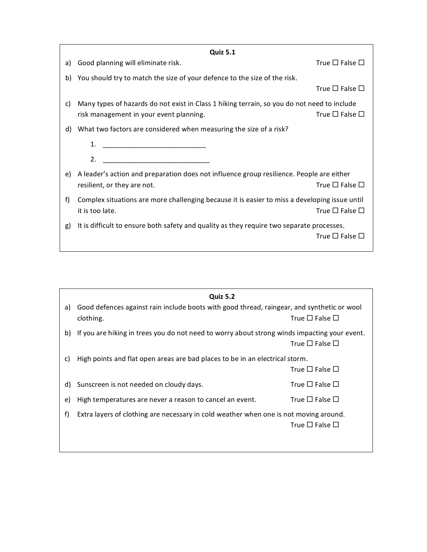|    | <b>Quiz 5.1</b>                                                                               |                                |
|----|-----------------------------------------------------------------------------------------------|--------------------------------|
| a) | Good planning will eliminate risk.                                                            | True $\square$ False $\square$ |
| b) | You should try to match the size of your defence to the size of the risk.                     |                                |
|    |                                                                                               | True $\square$ False $\square$ |
| C) | Many types of hazards do not exist in Class 1 hiking terrain, so you do not need to include   |                                |
|    | risk management in your event planning.                                                       | True $\square$ False $\square$ |
| d) | What two factors are considered when measuring the size of a risk?                            |                                |
|    | 1.                                                                                            |                                |
|    | 2.                                                                                            |                                |
| e) | A leader's action and preparation does not influence group resilience. People are either      |                                |
|    | resilient, or they are not.                                                                   | True $\square$ False $\square$ |
| f) | Complex situations are more challenging because it is easier to miss a developing issue until |                                |
|    | it is too late.                                                                               | True $\square$ False $\square$ |
| g) | It is difficult to ensure both safety and quality as they require two separate processes.     |                                |
|    |                                                                                               | True $\square$ False $\square$ |
|    |                                                                                               |                                |

|    | <b>Quiz 5.2</b>                                                                              |                                |  |
|----|----------------------------------------------------------------------------------------------|--------------------------------|--|
| a) | Good defences against rain include boots with good thread, raingear, and synthetic or wool   |                                |  |
|    | clothing.                                                                                    | True $\square$ False $\square$ |  |
| b) | If you are hiking in trees you do not need to worry about strong winds impacting your event. |                                |  |
|    |                                                                                              | True $\square$ False $\square$ |  |
| C) | High points and flat open areas are bad places to be in an electrical storm.                 |                                |  |
|    |                                                                                              | True $\square$ False $\square$ |  |
| d) | Sunscreen is not needed on cloudy days.                                                      | True $\square$ False $\square$ |  |
| e) | High temperatures are never a reason to cancel an event.                                     | True $\square$ False $\square$ |  |
| f) | Extra layers of clothing are necessary in cold weather when one is not moving around.        |                                |  |
|    |                                                                                              | True $\square$ False $\square$ |  |
|    |                                                                                              |                                |  |
|    |                                                                                              |                                |  |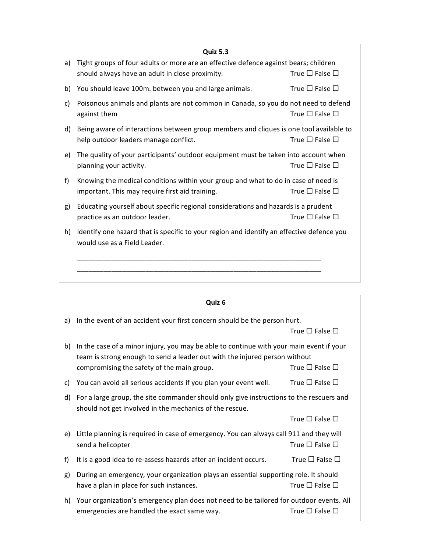|    | <b>Quiz 5.3</b>                                                                                                                         |                                |
|----|-----------------------------------------------------------------------------------------------------------------------------------------|--------------------------------|
| a) | Tight groups of four adults or more are an effective defence against bears; children<br>should always have an adult in close proximity. | True $\square$ False $\square$ |
| b) | You should leave 100m. between you and large animals.                                                                                   | True $\square$ False $\square$ |
| c) | Poisonous animals and plants are not common in Canada, so you do not need to defend<br>against them                                     | True $\square$ False $\square$ |
| d) | Being aware of interactions between group members and cliques is one tool available to<br>help outdoor leaders manage conflict.         | True $\square$ False $\square$ |
| e) | The quality of your participants' outdoor equipment must be taken into account when<br>planning your activity.                          | True $\Box$ False $\Box$       |
| f) | Knowing the medical conditions within your group and what to do in case of need is<br>important. This may require first aid training.   | True $\square$ False $\square$ |
| g) | Educating yourself about specific regional considerations and hazards is a prudent<br>practice as an outdoor leader.                    | True $\square$ False $\square$ |
| h) | Identify one hazard that is specific to your region and identify an effective defence you<br>would use as a Field Leader.               |                                |
|    |                                                                                                                                         |                                |
|    |                                                                                                                                         |                                |

|                                                                                                                                                          | Quiz 6                                                                                                                                                                                                              |                                |
|----------------------------------------------------------------------------------------------------------------------------------------------------------|---------------------------------------------------------------------------------------------------------------------------------------------------------------------------------------------------------------------|--------------------------------|
| a)                                                                                                                                                       | In the event of an accident your first concern should be the person hurt.                                                                                                                                           | True $\square$ False $\square$ |
| b)                                                                                                                                                       | In the case of a minor injury, you may be able to continue with your main event if your<br>team is strong enough to send a leader out with the injured person without<br>compromising the safety of the main group. | True $\square$ False $\square$ |
| c)                                                                                                                                                       | You can avoid all serious accidents if you plan your event well.                                                                                                                                                    | True $\square$ False $\square$ |
| For a large group, the site commander should only give instructions to the rescuers and<br>d)<br>should not get involved in the mechanics of the rescue. |                                                                                                                                                                                                                     |                                |
|                                                                                                                                                          |                                                                                                                                                                                                                     | True $\square$ False $\square$ |
| e)                                                                                                                                                       | Little planning is required in case of emergency. You can always call 911 and they will<br>send a helicopter                                                                                                        | True $\square$ False $\square$ |
| f)                                                                                                                                                       | It is a good idea to re-assess hazards after an incident occurs.                                                                                                                                                    | True $\square$ False $\square$ |
| g)                                                                                                                                                       | During an emergency, your organization plays an essential supporting role. It should<br>have a plan in place for such instances.                                                                                    | True $\square$ False $\square$ |
| h)                                                                                                                                                       | Your organization's emergency plan does not need to be tailored for outdoor events. All<br>emergencies are handled the exact same way.                                                                              | True $\Box$ False $\Box$       |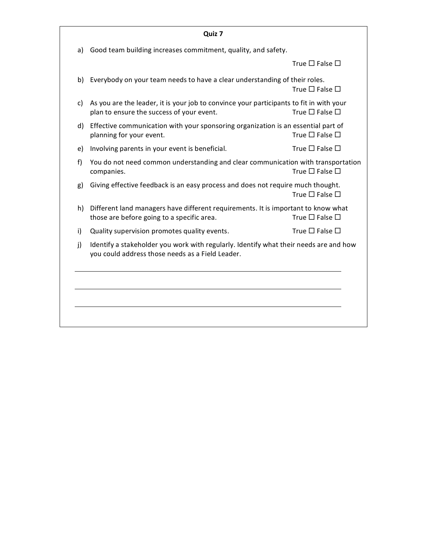| Good team building increases commitment, quality, and safety. |                                                                                                                                                                                                                                                                                                                                                                                                                                                                                                                                                                                                                                                                                                                                                                                                                                                                                                            |
|---------------------------------------------------------------|------------------------------------------------------------------------------------------------------------------------------------------------------------------------------------------------------------------------------------------------------------------------------------------------------------------------------------------------------------------------------------------------------------------------------------------------------------------------------------------------------------------------------------------------------------------------------------------------------------------------------------------------------------------------------------------------------------------------------------------------------------------------------------------------------------------------------------------------------------------------------------------------------------|
|                                                               |                                                                                                                                                                                                                                                                                                                                                                                                                                                                                                                                                                                                                                                                                                                                                                                                                                                                                                            |
|                                                               | True $\square$ False $\square$                                                                                                                                                                                                                                                                                                                                                                                                                                                                                                                                                                                                                                                                                                                                                                                                                                                                             |
|                                                               | True $\square$ False $\square$                                                                                                                                                                                                                                                                                                                                                                                                                                                                                                                                                                                                                                                                                                                                                                                                                                                                             |
|                                                               | True $\square$ False $\square$                                                                                                                                                                                                                                                                                                                                                                                                                                                                                                                                                                                                                                                                                                                                                                                                                                                                             |
|                                                               | True $\square$ False $\square$                                                                                                                                                                                                                                                                                                                                                                                                                                                                                                                                                                                                                                                                                                                                                                                                                                                                             |
|                                                               | True $\square$ False $\square$                                                                                                                                                                                                                                                                                                                                                                                                                                                                                                                                                                                                                                                                                                                                                                                                                                                                             |
|                                                               | True $\square$ False $\square$                                                                                                                                                                                                                                                                                                                                                                                                                                                                                                                                                                                                                                                                                                                                                                                                                                                                             |
|                                                               | True $\square$ False $\square$                                                                                                                                                                                                                                                                                                                                                                                                                                                                                                                                                                                                                                                                                                                                                                                                                                                                             |
|                                                               | True $\square$ False $\square$                                                                                                                                                                                                                                                                                                                                                                                                                                                                                                                                                                                                                                                                                                                                                                                                                                                                             |
|                                                               | True $\square$ False $\square$                                                                                                                                                                                                                                                                                                                                                                                                                                                                                                                                                                                                                                                                                                                                                                                                                                                                             |
|                                                               |                                                                                                                                                                                                                                                                                                                                                                                                                                                                                                                                                                                                                                                                                                                                                                                                                                                                                                            |
|                                                               |                                                                                                                                                                                                                                                                                                                                                                                                                                                                                                                                                                                                                                                                                                                                                                                                                                                                                                            |
|                                                               |                                                                                                                                                                                                                                                                                                                                                                                                                                                                                                                                                                                                                                                                                                                                                                                                                                                                                                            |
|                                                               |                                                                                                                                                                                                                                                                                                                                                                                                                                                                                                                                                                                                                                                                                                                                                                                                                                                                                                            |
|                                                               | Everybody on your team needs to have a clear understanding of their roles.<br>As you are the leader, it is your job to convince your participants to fit in with your<br>plan to ensure the success of your event.<br>Effective communication with your sponsoring organization is an essential part of<br>planning for your event.<br>Involving parents in your event is beneficial.<br>You do not need common understanding and clear communication with transportation<br>companies.<br>Giving effective feedback is an easy process and does not require much thought.<br>Different land managers have different requirements. It is important to know what<br>those are before going to a specific area.<br>Quality supervision promotes quality events.<br>Identify a stakeholder you work with regularly. Identify what their needs are and how<br>you could address those needs as a Field Leader. |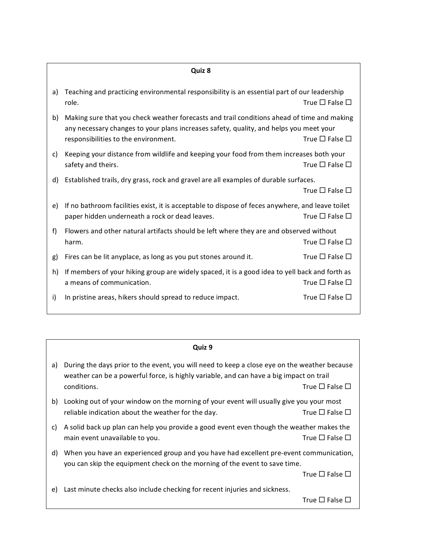### **Quiz 8**

| a) | Teaching and practicing environmental responsibility is an essential part of our leadership<br>role.                                                                                                                         | True $\square$ False $\square$ |
|----|------------------------------------------------------------------------------------------------------------------------------------------------------------------------------------------------------------------------------|--------------------------------|
| b) | Making sure that you check weather forecasts and trail conditions ahead of time and making<br>any necessary changes to your plans increases safety, quality, and helps you meet your<br>responsibilities to the environment. | True $\square$ False $\square$ |
| C) | Keeping your distance from wildlife and keeping your food from them increases both your<br>safety and theirs.                                                                                                                | True $\square$ False $\square$ |
| d) | Established trails, dry grass, rock and gravel are all examples of durable surfaces.                                                                                                                                         | True $\square$ False $\square$ |
| e) | If no bathroom facilities exist, it is acceptable to dispose of feces anywhere, and leave toilet<br>paper hidden underneath a rock or dead leaves.                                                                           | True $\square$ False $\square$ |
| f) | Flowers and other natural artifacts should be left where they are and observed without<br>harm.                                                                                                                              | True $\square$ False $\square$ |
| g) | Fires can be lit anyplace, as long as you put stones around it.                                                                                                                                                              | True $\square$ False $\square$ |
| h) | If members of your hiking group are widely spaced, it is a good idea to yell back and forth as<br>a means of communication.                                                                                                  | True $\square$ False $\square$ |
| i) | In pristine areas, hikers should spread to reduce impact.                                                                                                                                                                    | True $\square$ False $\square$ |

#### **Quiz 9**

| a) During the days prior to the event, you will need to keep a close eye on the weather because |                                |
|-------------------------------------------------------------------------------------------------|--------------------------------|
| weather can be a powerful force, is highly variable, and can have a big impact on trail         |                                |
| conditions.                                                                                     | True $\square$ False $\square$ |

- b) Looking out of your window on the morning of your event will usually give you your most reliable indication about the weather for the day. True  $\square$  False  $\square$
- c) A solid back up plan can help you provide a good event even though the weather makes the main event unavailable to you. The set of the set of the set of the  $\square$  False  $\square$
- d) When you have an experienced group and you have had excellent pre-event communication, you can skip the equipment check on the morning of the event to save time.

True  $\square$  False  $\square$ 

e) Last minute checks also include checking for recent injuries and sickness.

True  $\square$  False  $\square$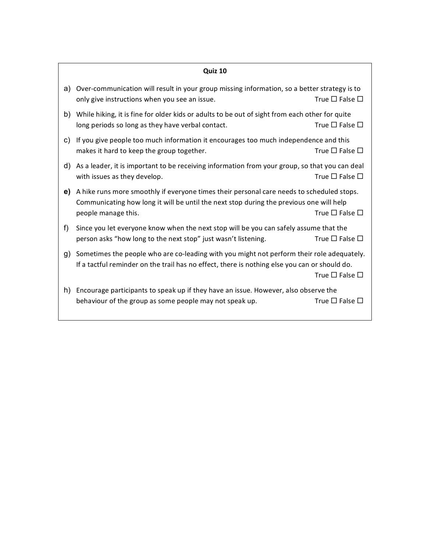# **Quiz 10**

| a) | Over-communication will result in your group missing information, so a better strategy is to<br>only give instructions when you see an issue.                                                               | True $\square$ False $\square$ |
|----|-------------------------------------------------------------------------------------------------------------------------------------------------------------------------------------------------------------|--------------------------------|
| b) | While hiking, it is fine for older kids or adults to be out of sight from each other for quite<br>long periods so long as they have verbal contact.                                                         | True $\square$ False $\square$ |
| C) | If you give people too much information it encourages too much independence and this<br>makes it hard to keep the group together.                                                                           | True $\square$ False $\square$ |
| d) | As a leader, it is important to be receiving information from your group, so that you can deal<br>with issues as they develop.                                                                              | True $\square$ False $\square$ |
| e) | A hike runs more smoothly if everyone times their personal care needs to scheduled stops.<br>Communicating how long it will be until the next stop during the previous one will help<br>people manage this. | True $\square$ False $\square$ |
| f) | Since you let everyone know when the next stop will be you can safely assume that the<br>person asks "how long to the next stop" just wasn't listening.                                                     | True $\square$ False $\square$ |
| g) | Sometimes the people who are co-leading with you might not perform their role adequately.<br>If a tactful reminder on the trail has no effect, there is nothing else you can or should do.                  | True $\square$ False $\square$ |
| h) | Encourage participants to speak up if they have an issue. However, also observe the<br>behaviour of the group as some people may not speak up.                                                              | True $\square$ False $\square$ |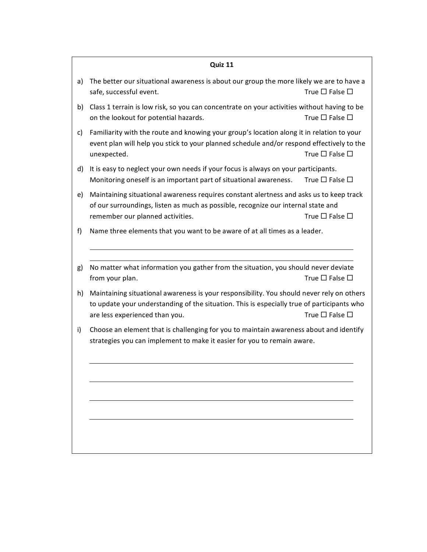## **Quiz 11**

- a) The better our situational awareness is about our group the more likely we are to have a safe, successful event. The same same same same same same same  $\Box$  False  $\Box$
- b) Class 1 terrain is low risk, so you can concentrate on your activities without having to be on the lookout for potential hazards. The  $\Box$  False  $\Box$
- c) Familiarity with the route and knowing your group's location along it in relation to your event plan will help you stick to your planned schedule and/or respond effectively to the unexpected. True ¨ False ¨
- d) It is easy to neglect your own needs if your focus is always on your participants. Monitoring oneself is an important part of situational awareness. True  $\Box$  False  $\Box$
- e) Maintaining situational awareness requires constant alertness and asks us to keep track of our surroundings, listen as much as possible, recognize our internal state and remember our planned activities.  $\Box$  True  $\Box$  False  $\Box$
- f) Name three elements that you want to be aware of at all times as a leader.
- g) No matter what information you gather from the situation, you should never deviate from your plan.  $\Box$  True  $\Box$  False  $\Box$
- h) Maintaining situational awareness is your responsibility. You should never rely on others to update your understanding of the situation. This is especially true of participants who are less experienced than you.  $\Box$  True  $\Box$  False  $\Box$
- i) Choose an element that is challenging for you to maintain awareness about and identify strategies you can implement to make it easier for you to remain aware.